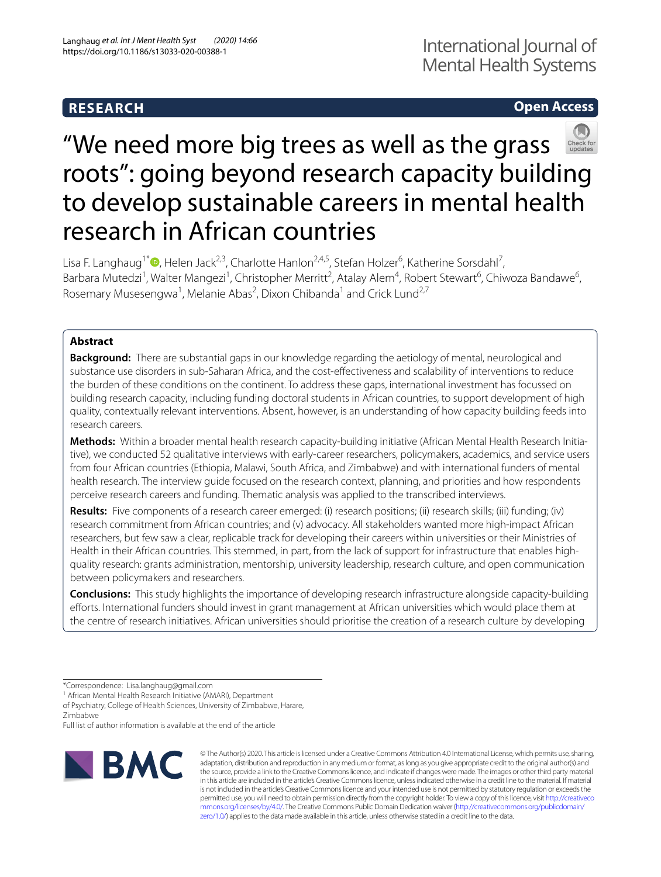# **RESEARCH**

# **Open Access**



# "We need more big trees as well as the grass roots": going beyond research capacity building to develop sustainable careers in mental health research in African countries

Lisa F. Langhaug<sup>1\*</sup><sup>®</sup>[,](http://orcid.org/0000-0002-9131-8158) Helen Jack<sup>2,3</sup>, Charlotte Hanlon<sup>2,4,5</sup>, Stefan Holzer<sup>6</sup>, Katherine Sorsdahl<sup>7</sup>, Barbara Mutedzi<sup>1</sup>, Walter Mangezi<sup>1</sup>, Christopher Merritt<sup>2</sup>, Atalay Alem<sup>4</sup>, Robert Stewart<sup>6</sup>, Chiwoza Bandawe<sup>6</sup>, Rosemary Musesengwa<sup>1</sup>, Melanie Abas<sup>2</sup>, Dixon Chibanda<sup>1</sup> and Crick Lund<sup>2,7</sup>

## **Abstract**

**Background:** There are substantial gaps in our knowledge regarding the aetiology of mental, neurological and substance use disorders in sub-Saharan Africa, and the cost-efectiveness and scalability of interventions to reduce the burden of these conditions on the continent. To address these gaps, international investment has focussed on building research capacity, including funding doctoral students in African countries, to support development of high quality, contextually relevant interventions. Absent, however, is an understanding of how capacity building feeds into research careers.

**Methods:** Within a broader mental health research capacity-building initiative (African Mental Health Research Initiative), we conducted 52 qualitative interviews with early-career researchers, policymakers, academics, and service users from four African countries (Ethiopia, Malawi, South Africa, and Zimbabwe) and with international funders of mental health research. The interview guide focused on the research context, planning, and priorities and how respondents perceive research careers and funding. Thematic analysis was applied to the transcribed interviews.

**Results:** Five components of a research career emerged: (i) research positions; (ii) research skills; (iii) funding; (iv) research commitment from African countries; and (v) advocacy. All stakeholders wanted more high-impact African researchers, but few saw a clear, replicable track for developing their careers within universities or their Ministries of Health in their African countries. This stemmed, in part, from the lack of support for infrastructure that enables highquality research: grants administration, mentorship, university leadership, research culture, and open communication between policymakers and researchers.

**Conclusions:** This study highlights the importance of developing research infrastructure alongside capacity-building efforts. International funders should invest in grant management at African universities which would place them at the centre of research initiatives. African universities should prioritise the creation of a research culture by developing

Full list of author information is available at the end of the article



© The Author(s) 2020. This article is licensed under a Creative Commons Attribution 4.0 International License, which permits use, sharing, adaptation, distribution and reproduction in any medium or format, as long as you give appropriate credit to the original author(s) and the source, provide a link to the Creative Commons licence, and indicate if changes were made. The images or other third party material in this article are included in the article's Creative Commons licence, unless indicated otherwise in a credit line to the material. If material is not included in the article's Creative Commons licence and your intended use is not permitted by statutory regulation or exceeds the permitted use, you will need to obtain permission directly from the copyright holder. To view a copy of this licence, visit [http://creativeco](http://creativecommons.org/licenses/by/4.0/) [mmons.org/licenses/by/4.0/.](http://creativecommons.org/licenses/by/4.0/) The Creative Commons Public Domain Dedication waiver ([http://creativecommons.org/publicdomain/](http://creativecommons.org/publicdomain/zero/1.0/) [zero/1.0/\)](http://creativecommons.org/publicdomain/zero/1.0/) applies to the data made available in this article, unless otherwise stated in a credit line to the data.

<sup>\*</sup>Correspondence: Lisa.langhaug@gmail.com

<sup>&</sup>lt;sup>1</sup> African Mental Health Research Initiative (AMARI), Department

of Psychiatry, College of Health Sciences, University of Zimbabwe, Harare, Zimbabwe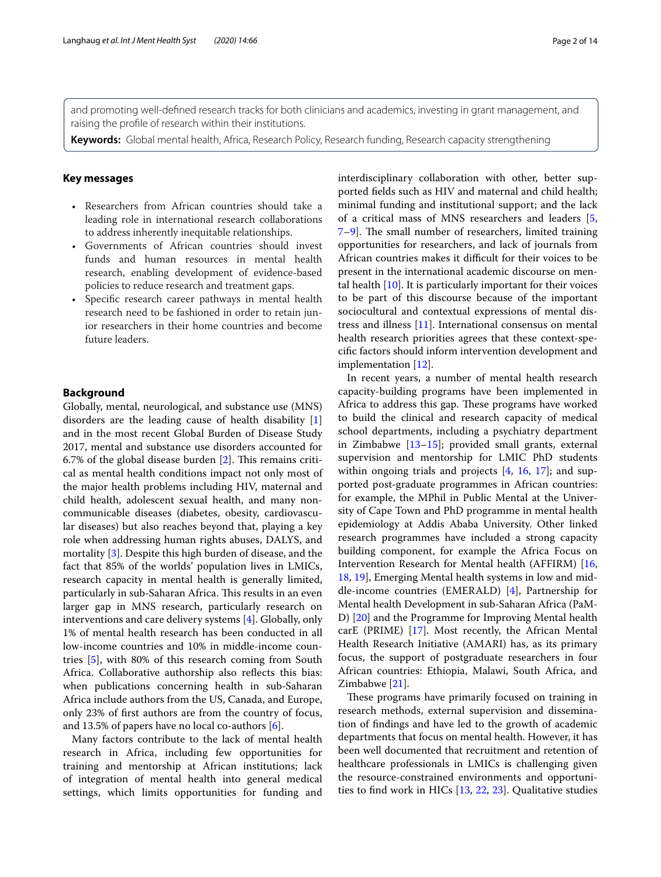and promoting well-defned research tracks for both clinicians and academics, investing in grant management, and raising the profle of research within their institutions.

**Keywords:** Global mental health, Africa, Research Policy, Research funding, Research capacity strengthening

#### **Key messages**

- Researchers from African countries should take a leading role in international research collaborations to address inherently inequitable relationships.
- Governments of African countries should invest funds and human resources in mental health research, enabling development of evidence-based policies to reduce research and treatment gaps.
- Specifc research career pathways in mental health research need to be fashioned in order to retain junior researchers in their home countries and become future leaders.

#### **Background**

Globally, mental, neurological, and substance use (MNS) disorders are the leading cause of health disability [\[1](#page-12-0)] and in the most recent Global Burden of Disease Study 2017, mental and substance use disorders accounted for 6.7% of the global disease burden  $[2]$  $[2]$ . This remains critical as mental health conditions impact not only most of the major health problems including HIV, maternal and child health, adolescent sexual health, and many noncommunicable diseases (diabetes, obesity, cardiovascular diseases) but also reaches beyond that, playing a key role when addressing human rights abuses, DALYS, and mortality [\[3](#page-12-2)]. Despite this high burden of disease, and the fact that 85% of the worlds' population lives in LMICs, research capacity in mental health is generally limited, particularly in sub-Saharan Africa. This results in an even larger gap in MNS research, particularly research on interventions and care delivery systems [\[4\]](#page-12-3). Globally, only 1% of mental health research has been conducted in all low-income countries and 10% in middle-income countries [[5\]](#page-12-4), with 80% of this research coming from South Africa. Collaborative authorship also refects this bias: when publications concerning health in sub-Saharan Africa include authors from the US, Canada, and Europe, only 23% of frst authors are from the country of focus, and 13.5% of papers have no local co-authors  $[6]$  $[6]$ .

Many factors contribute to the lack of mental health research in Africa, including few opportunities for training and mentorship at African institutions; lack of integration of mental health into general medical settings, which limits opportunities for funding and interdisciplinary collaboration with other, better supported felds such as HIV and maternal and child health; minimal funding and institutional support; and the lack of a critical mass of MNS researchers and leaders [\[5](#page-12-4),  $7-9$  $7-9$ ]. The small number of researchers, limited training opportunities for researchers, and lack of journals from African countries makes it difficult for their voices to be present in the international academic discourse on mental health  $[10]$  $[10]$  $[10]$ . It is particularly important for their voices to be part of this discourse because of the important sociocultural and contextual expressions of mental distress and illness [[11\]](#page-12-9). International consensus on mental health research priorities agrees that these context-specifc factors should inform intervention development and implementation [\[12](#page-12-10)].

In recent years, a number of mental health research capacity-building programs have been implemented in Africa to address this gap. These programs have worked to build the clinical and research capacity of medical school departments, including a psychiatry department in Zimbabwe [\[13–](#page-12-11)[15\]](#page-12-12); provided small grants, external supervision and mentorship for LMIC PhD students within ongoing trials and projects [\[4](#page-12-3), [16](#page-12-13), [17](#page-12-14)]; and supported post-graduate programmes in African countries: for example, the MPhil in Public Mental at the University of Cape Town and PhD programme in mental health epidemiology at Addis Ababa University. Other linked research programmes have included a strong capacity building component, for example the Africa Focus on Intervention Research for Mental health (AFFIRM) [[16](#page-12-13), [18,](#page-12-15) [19](#page-12-16)], Emerging Mental health systems in low and middle-income countries (EMERALD) [\[4](#page-12-3)], Partnership for Mental health Development in sub-Saharan Africa (PaM-D) [[20\]](#page-12-17) and the Programme for Improving Mental health carE (PRIME) [\[17](#page-12-14)]. Most recently, the African Mental Health Research Initiative (AMARI) has, as its primary focus, the support of postgraduate researchers in four African countries: Ethiopia, Malawi, South Africa, and Zimbabwe [[21\]](#page-12-18).

These programs have primarily focused on training in research methods, external supervision and dissemination of fndings and have led to the growth of academic departments that focus on mental health. However, it has been well documented that recruitment and retention of healthcare professionals in LMICs is challenging given the resource-constrained environments and opportunities to fnd work in HICs [[13,](#page-12-11) [22,](#page-12-19) [23\]](#page-12-20). Qualitative studies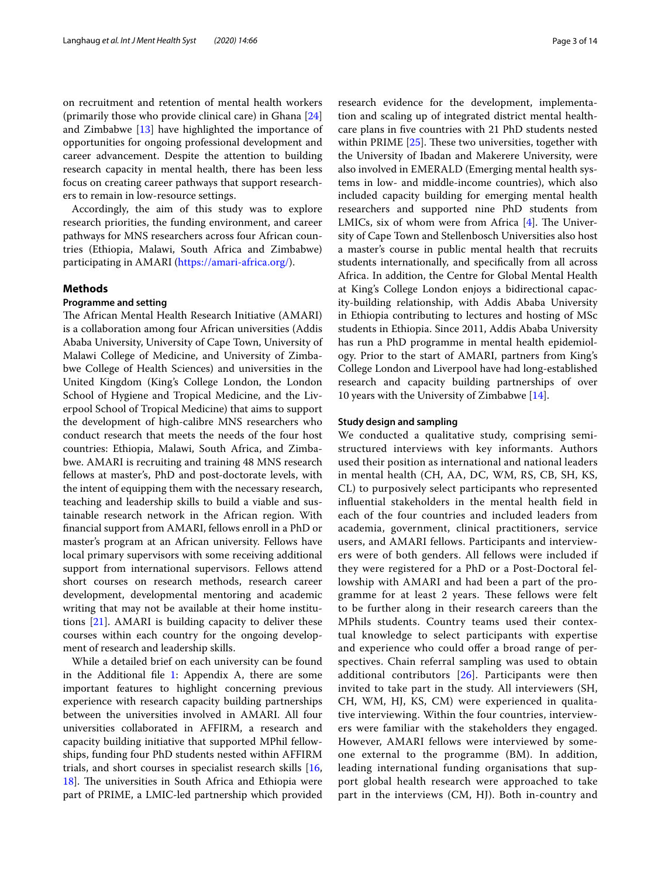on recruitment and retention of mental health workers (primarily those who provide clinical care) in Ghana [[24](#page-12-21)] and Zimbabwe [[13\]](#page-12-11) have highlighted the importance of opportunities for ongoing professional development and career advancement. Despite the attention to building research capacity in mental health, there has been less focus on creating career pathways that support researchers to remain in low-resource settings.

Accordingly, the aim of this study was to explore research priorities, the funding environment, and career pathways for MNS researchers across four African countries (Ethiopia, Malawi, South Africa and Zimbabwe) participating in AMARI [\(https://amari-africa.org/](https://amari-africa.org/)).

#### **Methods**

#### **Programme and setting**

The African Mental Health Research Initiative (AMARI) is a collaboration among four African universities (Addis Ababa University, University of Cape Town, University of Malawi College of Medicine, and University of Zimbabwe College of Health Sciences) and universities in the United Kingdom (King's College London, the London School of Hygiene and Tropical Medicine, and the Liverpool School of Tropical Medicine) that aims to support the development of high-calibre MNS researchers who conduct research that meets the needs of the four host countries: Ethiopia, Malawi, South Africa, and Zimbabwe. AMARI is recruiting and training 48 MNS research fellows at master's, PhD and post-doctorate levels, with the intent of equipping them with the necessary research, teaching and leadership skills to build a viable and sustainable research network in the African region. With fnancial support from AMARI, fellows enroll in a PhD or master's program at an African university. Fellows have local primary supervisors with some receiving additional support from international supervisors. Fellows attend short courses on research methods, research career development, developmental mentoring and academic writing that may not be available at their home institutions [\[21\]](#page-12-18). AMARI is building capacity to deliver these courses within each country for the ongoing development of research and leadership skills.

While a detailed brief on each university can be found in the Additional file  $1$ : Appendix A, there are some important features to highlight concerning previous experience with research capacity building partnerships between the universities involved in AMARI. All four universities collaborated in AFFIRM, a research and capacity building initiative that supported MPhil fellowships, funding four PhD students nested within AFFIRM trials, and short courses in specialist research skills [\[16](#page-12-13), [18\]](#page-12-15). The universities in South Africa and Ethiopia were part of PRIME, a LMIC-led partnership which provided research evidence for the development, implementation and scaling up of integrated district mental healthcare plans in fve countries with 21 PhD students nested within PRIME  $[25]$  $[25]$ . These two universities, together with the University of Ibadan and Makerere University, were also involved in EMERALD (Emerging mental health systems in low- and middle-income countries), which also included capacity building for emerging mental health researchers and supported nine PhD students from LMICs, six of whom were from Africa  $[4]$  $[4]$ . The University of Cape Town and Stellenbosch Universities also host a master's course in public mental health that recruits students internationally, and specifcally from all across Africa. In addition, the Centre for Global Mental Health at King's College London enjoys a bidirectional capacity-building relationship, with Addis Ababa University in Ethiopia contributing to lectures and hosting of MSc students in Ethiopia. Since 2011, Addis Ababa University has run a PhD programme in mental health epidemiology. Prior to the start of AMARI, partners from King's College London and Liverpool have had long-established research and capacity building partnerships of over 10 years with the University of Zimbabwe [[14\]](#page-12-23).

#### **Study design and sampling**

We conducted a qualitative study, comprising semistructured interviews with key informants. Authors used their position as international and national leaders in mental health (CH, AA, DC, WM, RS, CB, SH, KS, CL) to purposively select participants who represented infuential stakeholders in the mental health feld in each of the four countries and included leaders from academia, government, clinical practitioners, service users, and AMARI fellows. Participants and interviewers were of both genders. All fellows were included if they were registered for a PhD or a Post-Doctoral fellowship with AMARI and had been a part of the programme for at least 2 years. These fellows were felt to be further along in their research careers than the MPhils students. Country teams used their contextual knowledge to select participants with expertise and experience who could offer a broad range of perspectives. Chain referral sampling was used to obtain additional contributors  $[26]$  $[26]$  $[26]$ . Participants were then invited to take part in the study. All interviewers (SH, CH, WM, HJ, KS, CM) were experienced in qualitative interviewing. Within the four countries, interviewers were familiar with the stakeholders they engaged. However, AMARI fellows were interviewed by someone external to the programme (BM). In addition, leading international funding organisations that support global health research were approached to take part in the interviews (CM, HJ). Both in-country and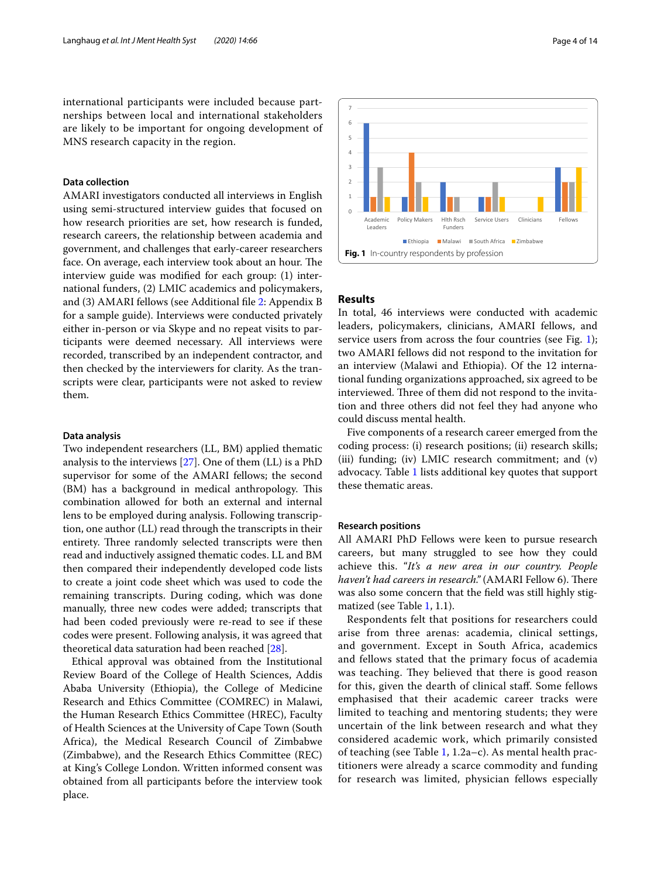international participants were included because partnerships between local and international stakeholders are likely to be important for ongoing development of MNS research capacity in the region.

## **Data collection**

AMARI investigators conducted all interviews in English using semi-structured interview guides that focused on how research priorities are set, how research is funded, research careers, the relationship between academia and government, and challenges that early-career researchers face. On average, each interview took about an hour. The interview guide was modifed for each group: (1) international funders, (2) LMIC academics and policymakers, and (3) AMARI fellows (see Additional fle [2:](#page-11-1) Appendix B for a sample guide). Interviews were conducted privately either in-person or via Skype and no repeat visits to participants were deemed necessary. All interviews were recorded, transcribed by an independent contractor, and then checked by the interviewers for clarity. As the transcripts were clear, participants were not asked to review them.

#### **Data analysis**

Two independent researchers (LL, BM) applied thematic analysis to the interviews [\[27\]](#page-12-25). One of them (LL) is a PhD supervisor for some of the AMARI fellows; the second (BM) has a background in medical anthropology. This combination allowed for both an external and internal lens to be employed during analysis. Following transcription, one author (LL) read through the transcripts in their entirety. Three randomly selected transcripts were then read and inductively assigned thematic codes. LL and BM then compared their independently developed code lists to create a joint code sheet which was used to code the remaining transcripts. During coding, which was done manually, three new codes were added; transcripts that had been coded previously were re-read to see if these codes were present. Following analysis, it was agreed that theoretical data saturation had been reached [[28\]](#page-12-26).

Ethical approval was obtained from the Institutional Review Board of the College of Health Sciences, Addis Ababa University (Ethiopia), the College of Medicine Research and Ethics Committee (COMREC) in Malawi, the Human Research Ethics Committee (HREC), Faculty of Health Sciences at the University of Cape Town (South Africa), the Medical Research Council of Zimbabwe (Zimbabwe), and the Research Ethics Committee (REC) at King's College London. Written informed consent was obtained from all participants before the interview took place.



#### <span id="page-3-0"></span>**Results**

In total, 46 interviews were conducted with academic leaders, policymakers, clinicians, AMARI fellows, and service users from across the four countries (see Fig. [1](#page-3-0)); two AMARI fellows did not respond to the invitation for an interview (Malawi and Ethiopia). Of the 12 international funding organizations approached, six agreed to be interviewed. Three of them did not respond to the invitation and three others did not feel they had anyone who could discuss mental health.

Five components of a research career emerged from the coding process: (i) research positions; (ii) research skills; (iii) funding; (iv) LMIC research commitment; and (v) advocacy. Table [1](#page-4-0) lists additional key quotes that support these thematic areas.

## **Research positions**

All AMARI PhD Fellows were keen to pursue research careers, but many struggled to see how they could achieve this. "*It's a new area in our country. People*  haven't had careers in research." (AMARI Fellow 6). There was also some concern that the feld was still highly stigmatized (see Table [1,](#page-4-0) 1.1).

Respondents felt that positions for researchers could arise from three arenas: academia, clinical settings, and government. Except in South Africa, academics and fellows stated that the primary focus of academia was teaching. They believed that there is good reason for this, given the dearth of clinical staf. Some fellows emphasised that their academic career tracks were limited to teaching and mentoring students; they were uncertain of the link between research and what they considered academic work, which primarily consisted of teaching (see Table [1,](#page-4-0) 1.2a–c). As mental health practitioners were already a scarce commodity and funding for research was limited, physician fellows especially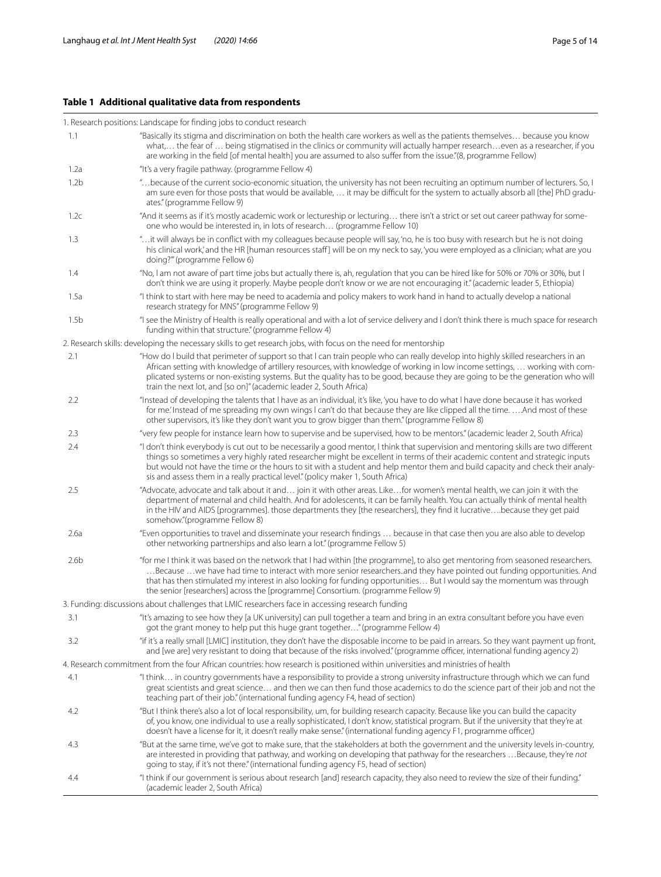## <span id="page-4-0"></span>**Table 1 Additional qualitative data from respondents**

## 1. Research positions: Landscape for fnding jobs to conduct research 1.1 "Basically its stigma and discrimination on both the health care workers as well as the patients themselves… because you know what,… the fear of … being stigmatised in the clinics or community will actually hamper research…even as a researcher, if you are working in the feld [of mental health] you are assumed to also sufer from the issue."(8, programme Fellow) 1.2a "It's a very fragile pathway. (programme Fellow 4) 1.2b "…because of the current socio-economic situation, the university has not been recruiting an optimum number of lecturers. So, I am sure even for those posts that would be available, ... it may be difficult for the system to actually absorb all [the] PhD graduates." (programme Fellow 9) 1.2c "And it seems as if it's mostly academic work or lectureship or lecturing… there isn't a strict or set out career pathway for someone who would be interested in, in lots of research… (programme Fellow 10) 1.3 "…it will always be in confict with my colleagues because people will say, 'no, he is too busy with research but he is not doing his clinical work,' and the HR [human resources staff] will be on my neck to say, 'you were employed as a clinician; what are you doing?'" (programme Fellow 6) 1.4 "No, l am not aware of part time jobs but actually there is, ah, regulation that you can be hired like for 50% or 70% or 30%, but l don't think we are using it properly. Maybe people don't know or we are not encouraging it." (academic leader 5, Ethiopia) 1.5a "I think to start with here may be need to academia and policy makers to work hand in hand to actually develop a national research strategy for MNS" (programme Fellow 9) 1.5b "I see the Ministry of Health is really operational and with a lot of service delivery and I don't think there is much space for research funding within that structure." (programme Fellow 4) 2. Research skills: developing the necessary skills to get research jobs, with focus on the need for mentorship 2.1 "How do l build that perimeter of support so that l can train people who can really develop into highly skilled researchers in an African setting with knowledge of artillery resources, with knowledge of working in low income settings, … working with complicated systems or non-existing systems. But the quality has to be good, because they are going to be the generation who will train the next lot, and [so on]" (academic leader 2, South Africa) 2.2 "Instead of developing the talents that l have as an individual, it's like, 'you have to do what l have done because it has worked for me.' Instead of me spreading my own wings l can't do that because they are like clipped all the time. ….And most of these other supervisors, it's like they don't want you to grow bigger than them." (programme Fellow 8) 2.3 "very few people for instance learn how to supervise and be supervised, how to be mentors." (academic leader 2, South Africa) 2.4 "l don't think everybody is cut out to be necessarily a good mentor, l think that supervision and mentoring skills are two diferent things so sometimes a very highly rated researcher might be excellent in terms of their academic content and strategic inputs but would not have the time or the hours to sit with a student and help mentor them and build capacity and check their analysis and assess them in a really practical level." (policy maker 1, South Africa) 2.5 "Advocate, advocate and talk about it and… join it with other areas. Like…for women's mental health, we can join it with the department of maternal and child health. And for adolescents, it can be family health. You can actually think of mental health in the HIV and AIDS [programmes]. those departments they [the researchers], they fnd it lucrative….because they get paid somehow."(programme Fellow 8) 2.6a "Even opportunities to travel and disseminate your research fndings … because in that case then you are also able to develop other networking partnerships and also learn a lot." (programme Fellow 5) 2.6b "for me I think it was based on the network that I had within [the programme], to also get mentoring from seasoned researchers. …Because …we have had time to interact with more senior researchers..and they have pointed out funding opportunities. And that has then stimulated my interest in also looking for funding opportunities… But I would say the momentum was through the senior [researchers] across the [programme] Consortium. (programme Fellow 9) 3. Funding: discussions about challenges that LMIC researchers face in accessing research funding 3.1 "It's amazing to see how they [a UK university] can pull together a team and bring in an extra consultant before you have even got the grant money to help put this huge grant together…" (programme Fellow 4) 3.2 "if it's a really small [LMIC] institution, they don't have the disposable income to be paid in arrears. So they want payment up front, and [we are] very resistant to doing that because of the risks involved." (programme officer, international funding agency 2) 4. Research commitment from the four African countries: how research is positioned within universities and ministries of health 4.1 "I think… in country governments have a responsibility to provide a strong university infrastructure through which we can fund great scientists and great science… and then we can then fund those academics to do the science part of their job and not the teaching part of their job." (international funding agency F4, head of section) 4.2 "But I think there's also a lot of local responsibility, um, for building research capacity. Because like you can build the capacity of, you know, one individual to use a really sophisticated, I don't know, statistical program. But if the university that they're at doesn't have a license for it, it doesn't really make sense." (international funding agency F1, programme officer,) 4.3 "But at the same time, we've got to make sure, that the stakeholders at both the government and the university levels in-country, are interested in providing that pathway, and working on developing that pathway for the researchers …Because, they're *not* going to stay, if it's not there." (international funding agency F5, head of section) 4.4 "I think if our government is serious about research [and] research capacity, they also need to review the size of their funding." (academic leader 2, South Africa)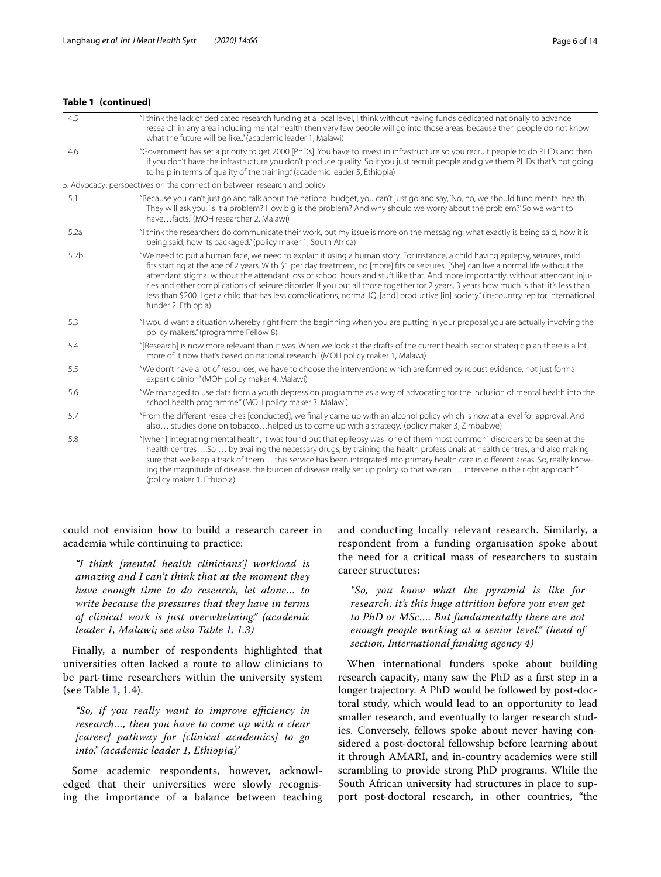## **Table 1 (continued)**

| 4.5              | "I think the lack of dedicated research funding at a local level, I think without having funds dedicated nationally to advance<br>research in any area including mental health then very few people will go into those areas, because then people do not know<br>what the future will be like." (academic leader 1, Malawi)                                                                                                                                                                                                                                                                                                                                                                                            |
|------------------|------------------------------------------------------------------------------------------------------------------------------------------------------------------------------------------------------------------------------------------------------------------------------------------------------------------------------------------------------------------------------------------------------------------------------------------------------------------------------------------------------------------------------------------------------------------------------------------------------------------------------------------------------------------------------------------------------------------------|
| 4.6              | "Government has set a priority to get 2000 [PhDs]. You have to invest in infrastructure so you recruit people to do PHDs and then<br>if you don't have the infrastructure you don't produce quality. So if you just recruit people and give them PHDs that's not going<br>to help in terms of quality of the training." (academic leader 5, Ethiopia)                                                                                                                                                                                                                                                                                                                                                                  |
|                  | 5. Advocacy: perspectives on the connection between research and policy                                                                                                                                                                                                                                                                                                                                                                                                                                                                                                                                                                                                                                                |
| 5.1              | "Because you can't just go and talk about the national budget, you can't just go and say, 'No, no, we should fund mental health.'<br>They will ask you, 'Is it a problem? How big is the problem? And why should we worry about the problem?' So we want to<br>havefacts." (MOH researcher 2, Malawi)                                                                                                                                                                                                                                                                                                                                                                                                                  |
| 5.2a             | "I think the researchers do communicate their work, but my issue is more on the messaging: what exactly is being said, how it is<br>being said, how its packaged." (policy maker 1, South Africa)                                                                                                                                                                                                                                                                                                                                                                                                                                                                                                                      |
| 5.2 <sub>b</sub> | "We need to put a human face, we need to explain it using a human story. For instance, a child having epilepsy, seizures, mild<br>fits starting at the age of 2 years. With \$1 per day treatment, no [more] fits or seizures. [She] can live a normal life without the<br>attendant stigma, without the attendant loss of school hours and stuff like that. And more importantly, without attendant inju-<br>ries and other complications of seizure disorder. If you put all those together for 2 years, 3 years how much is that: it's less than<br>less than \$200. I get a child that has less complications, normal IQ, [and] productive [in] society." (in-country rep for international<br>funder 2, Ethiopia) |
| 5.3              | "I would want a situation whereby right from the beginning when you are putting in your proposal you are actually involving the<br>policy makers." (programme Fellow 8)                                                                                                                                                                                                                                                                                                                                                                                                                                                                                                                                                |
| 5.4              | "[Research] is now more relevant than it was. When we look at the drafts of the current health sector strategic plan there is a lot<br>more of it now that's based on national research." (MOH policy maker 1, Malawi)                                                                                                                                                                                                                                                                                                                                                                                                                                                                                                 |
| 5.5              | "We don't have a lot of resources, we have to choose the interventions which are formed by robust evidence, not just formal<br>expert opinion" (MOH policy maker 4, Malawi)                                                                                                                                                                                                                                                                                                                                                                                                                                                                                                                                            |
| 5.6              | "We managed to use data from a youth depression programme as a way of advocating for the inclusion of mental health into the<br>school health programme." (MOH policy maker 3, Malawi)                                                                                                                                                                                                                                                                                                                                                                                                                                                                                                                                 |
| 5.7              | "From the different researches [conducted], we finally came up with an alcohol policy which is now at a level for approval. And<br>also studies done on tobaccohelped us to come up with a strategy." (policy maker 3, Zimbabwe)                                                                                                                                                                                                                                                                                                                                                                                                                                                                                       |
| 5.8              | "[when] integrating mental health, it was found out that epilepsy was [one of them most common] disorders to be seen at the<br>health centres So by availing the necessary drugs by training the health professionals at health centres and also making                                                                                                                                                                                                                                                                                                                                                                                                                                                                |

health centres….So … by availing the necessary drugs, by training the health professionals at health centres, and also making sure that we keep a track of them….this service has been integrated into primary health care in diferent areas. So, really knowing the magnitude of disease, the burden of disease really..set up policy so that we can … intervene in the right approach." (policy maker 1, Ethiopia)

could not envision how to build a research career in academia while continuing to practice:

*"I think [mental health clinicians'] workload is amazing and I can't think that at the moment they have enough time to do research, let alone… to write because the pressures that they have in terms of clinical work is just overwhelming." (academic leader 1, Malawi; see also Table [1,](#page-4-0) 1.3)*

Finally, a number of respondents highlighted that universities often lacked a route to allow clinicians to be part-time researchers within the university system (see Table [1](#page-4-0), 1.4).

"So, if you really want to improve efficiency in *research…, then you have to come up with a clear [career] pathway for [clinical academics] to go into." (academic leader 1, Ethiopia)'*

Some academic respondents, however, acknowledged that their universities were slowly recognising the importance of a balance between teaching and conducting locally relevant research. Similarly, a respondent from a funding organisation spoke about the need for a critical mass of researchers to sustain career structures:

*"So, you know what the pyramid is like for research: it's this huge attrition before you even get to PhD or MSc…. But fundamentally there are not enough people working at a senior level." (head of section, International funding agency 4)*

When international funders spoke about building research capacity, many saw the PhD as a frst step in a longer trajectory. A PhD would be followed by post-doctoral study, which would lead to an opportunity to lead smaller research, and eventually to larger research studies. Conversely, fellows spoke about never having considered a post-doctoral fellowship before learning about it through AMARI, and in-country academics were still scrambling to provide strong PhD programs. While the South African university had structures in place to support post-doctoral research, in other countries, "the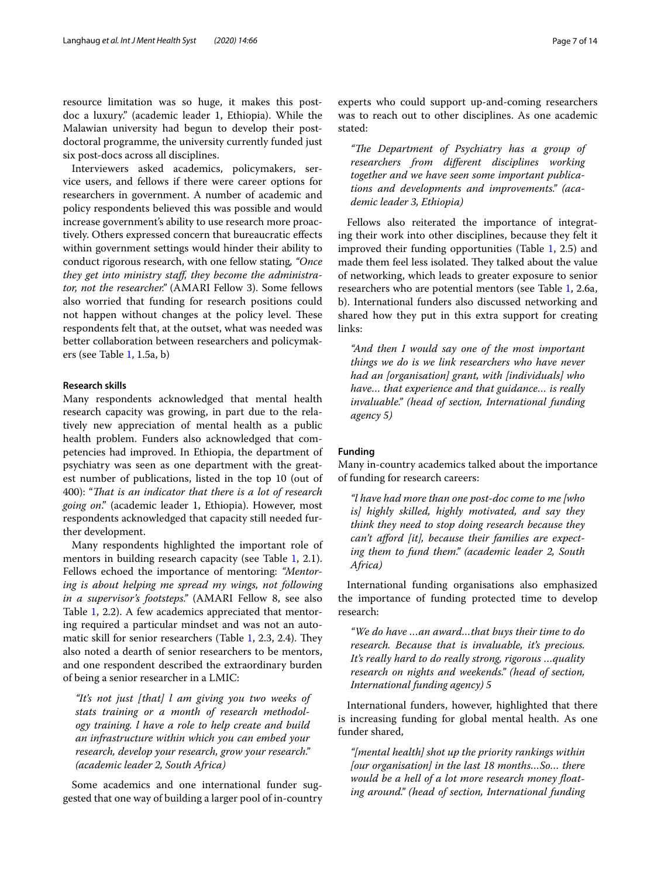resource limitation was so huge, it makes this postdoc a luxury." (academic leader 1, Ethiopia). While the Malawian university had begun to develop their postdoctoral programme, the university currently funded just six post-docs across all disciplines.

Interviewers asked academics, policymakers, service users, and fellows if there were career options for researchers in government. A number of academic and policy respondents believed this was possible and would increase government's ability to use research more proactively. Others expressed concern that bureaucratic efects within government settings would hinder their ability to conduct rigorous research, with one fellow stating*, "Once they get into ministry staf, they become the administrator, not the researcher."* (AMARI Fellow 3). Some fellows also worried that funding for research positions could not happen without changes at the policy level. These respondents felt that, at the outset, what was needed was better collaboration between researchers and policymakers (see Table [1,](#page-4-0) 1.5a, b)

## **Research skills**

Many respondents acknowledged that mental health research capacity was growing, in part due to the relatively new appreciation of mental health as a public health problem. Funders also acknowledged that competencies had improved. In Ethiopia, the department of psychiatry was seen as one department with the greatest number of publications, listed in the top 10 (out of 400): "*Tat is an indicator that there is a lot of research going on*." (academic leader 1, Ethiopia). However, most respondents acknowledged that capacity still needed further development.

Many respondents highlighted the important role of mentors in building research capacity (see Table [1](#page-4-0), 2.1). Fellows echoed the importance of mentoring: *"Mentoring is about helping me spread my wings, not following in a supervisor's footsteps."* (AMARI Fellow 8, see also Table [1](#page-4-0), 2.2). A few academics appreciated that mentoring required a particular mindset and was not an automatic skill for senior researchers (Table  $1, 2.3, 2.4$  $1, 2.3, 2.4$ ). They also noted a dearth of senior researchers to be mentors, and one respondent described the extraordinary burden of being a senior researcher in a LMIC:

*"It's not just [that] l am giving you two weeks of stats training or a month of research methodology training. l have a role to help create and build an infrastructure within which you can embed your research, develop your research, grow your research." (academic leader 2, South Africa)*

Some academics and one international funder suggested that one way of building a larger pool of in-country experts who could support up-and-coming researchers was to reach out to other disciplines. As one academic stated:

*"Te Department of Psychiatry has a group of researchers from diferent disciplines working together and we have seen some important publications and developments and improvements." (academic leader 3, Ethiopia)*

Fellows also reiterated the importance of integrating their work into other disciplines, because they felt it improved their funding opportunities (Table [1,](#page-4-0) 2.5) and made them feel less isolated. They talked about the value of networking, which leads to greater exposure to senior researchers who are potential mentors (see Table [1,](#page-4-0) 2.6a, b). International funders also discussed networking and shared how they put in this extra support for creating links:

*"And then I would say one of the most important things we do is we link researchers who have never had an [organisation] grant, with [individuals] who have… that experience and that guidance… is really invaluable." (head of section, International funding agency 5)*

#### **Funding**

Many in-country academics talked about the importance of funding for research careers:

*"l have had more than one post-doc come to me [who is] highly skilled, highly motivated, and say they think they need to stop doing research because they can't aford [it], because their families are expecting them to fund them." (academic leader 2, South Africa)*

International funding organisations also emphasized the importance of funding protected time to develop research:

*"We do have …an award…that buys their time to do research. Because that is invaluable, it's precious. It's really hard to do really strong, rigorous …quality research on nights and weekends." (head of section, International funding agency) 5*

International funders, however, highlighted that there is increasing funding for global mental health. As one funder shared,

*"[mental health] shot up the priority rankings within [our organisation] in the last 18 months…So… there would be a hell of a lot more research money foating around." (head of section, International funding*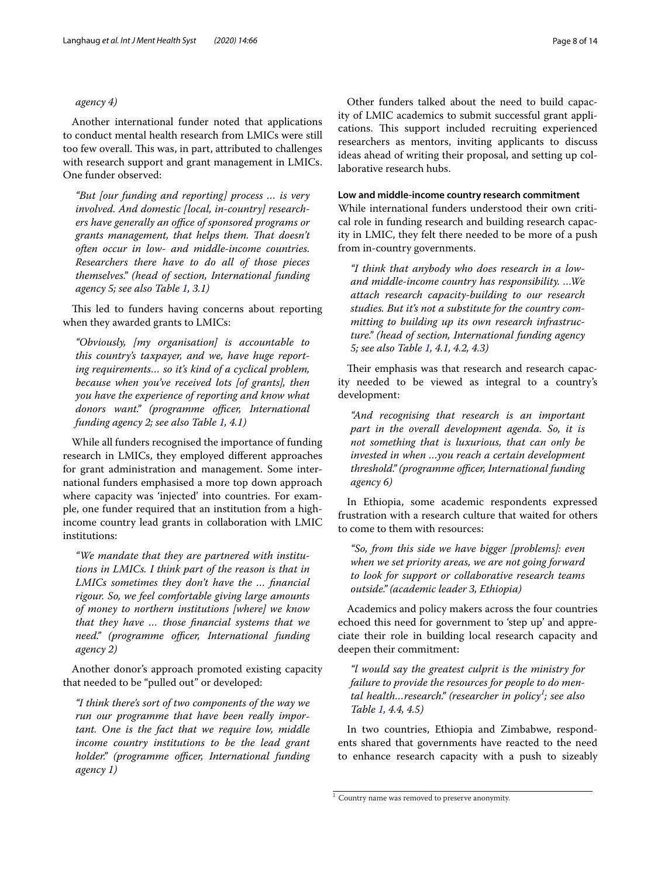#### *agency 4)*

Another international funder noted that applications to conduct mental health research from LMICs were still too few overall. This was, in part, attributed to challenges with research support and grant management in LMICs. One funder observed:

*"But [our funding and reporting] process … is very involved. And domestic [local, in-country] researchers have generally an office of sponsored programs or grants management, that helps them. Tat doesn't often occur in low- and middle-income countries. Researchers there have to do all of those pieces themselves." (head of section, International funding agency 5; see also Table [1](#page-4-0), 3.1)*

This led to funders having concerns about reporting when they awarded grants to LMICs:

*"Obviously, [my organisation] is accountable to this country's taxpayer, and we, have huge reporting requirements… so it's kind of a cyclical problem, because when you've received lots [of grants], then you have the experience of reporting and know what*  donors want." (programme officer, International *funding agency 2; see also Table [1](#page-4-0), 4.1)*

While all funders recognised the importance of funding research in LMICs, they employed diferent approaches for grant administration and management. Some international funders emphasised a more top down approach where capacity was 'injected' into countries. For example, one funder required that an institution from a highincome country lead grants in collaboration with LMIC institutions:

*"We mandate that they are partnered with institutions in LMICs. I think part of the reason is that in LMICs sometimes they don't have the … fnancial rigour. So, we feel comfortable giving large amounts of money to northern institutions [where] we know that they have … those fnancial systems that we need."* (programme officer, International funding *agency 2)*

Another donor's approach promoted existing capacity that needed to be "pulled out" or developed:

*"I think there's sort of two components of the way we run our programme that have been really important. One is the fact that we require low, middle income country institutions to be the lead grant holder.*" (programme officer, International funding *agency 1)*

Other funders talked about the need to build capacity of LMIC academics to submit successful grant applications. This support included recruiting experienced researchers as mentors, inviting applicants to discuss ideas ahead of writing their proposal, and setting up collaborative research hubs.

## **Low and middle‑income country research commitment**

While international funders understood their own critical role in funding research and building research capacity in LMIC, they felt there needed to be more of a push from in-country governments.

*"I think that anybody who does research in a lowand middle-income country has responsibility. …We attach research capacity-building to our research studies. But it's not a substitute for the country committing to building up its own research infrastructure." (head of section, International funding agency 5; see also Table [1,](#page-4-0) 4.1, 4.2, 4.3)*

Their emphasis was that research and research capacity needed to be viewed as integral to a country's development:

*"And recognising that research is an important part in the overall development agenda. So, it is not something that is luxurious, that can only be invested in when …you reach a certain development threshold." (programme officer, International funding agency 6)*

In Ethiopia, some academic respondents expressed frustration with a research culture that waited for others to come to them with resources:

*"So, from this side we have bigger [problems]: even when we set priority areas, we are not going forward to look for support or collaborative research teams outside." (academic leader 3, Ethiopia)*

Academics and policy makers across the four countries echoed this need for government to 'step up' and appreciate their role in building local research capacity and deepen their commitment:

*"l would say the greatest culprit is the ministry for failure to provide the resources for people to do mental health…research." (researcher in policy[1](#page-7-0) ; see also Table [1,](#page-4-0) 4.4, 4.5)*

In two countries, Ethiopia and Zimbabwe, respondents shared that governments have reacted to the need to enhance research capacity with a push to sizeably

<span id="page-7-0"></span> $\frac{1}{1}$  Country name was removed to preserve anonymity.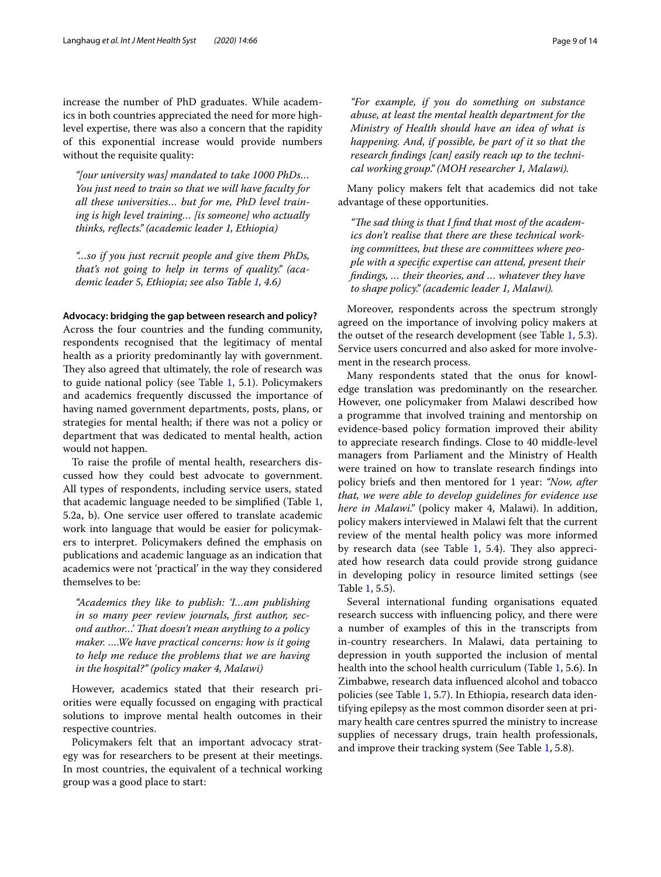increase the number of PhD graduates. While academics in both countries appreciated the need for more highlevel expertise, there was also a concern that the rapidity of this exponential increase would provide numbers without the requisite quality:

*"[our university was] mandated to take 1000 PhDs… You just need to train so that we will have faculty for all these universities… but for me, PhD level training is high level training… [is someone] who actually thinks, refects." (academic leader 1, Ethiopia)*

*"…so if you just recruit people and give them PhDs, that's not going to help in terms of quality." (academic leader 5, Ethiopia; see also Table [1,](#page-4-0) 4.6)*

#### **Advocacy: bridging the gap between research and policy?**

Across the four countries and the funding community, respondents recognised that the legitimacy of mental health as a priority predominantly lay with government. They also agreed that ultimately, the role of research was to guide national policy (see Table [1](#page-4-0), 5.1). Policymakers and academics frequently discussed the importance of having named government departments, posts, plans, or strategies for mental health; if there was not a policy or department that was dedicated to mental health, action would not happen.

To raise the profle of mental health, researchers discussed how they could best advocate to government. All types of respondents, including service users, stated that academic language needed to be simplifed (Table [1](#page-4-0), 5.2a, b). One service user ofered to translate academic work into language that would be easier for policymakers to interpret. Policymakers defned the emphasis on publications and academic language as an indication that academics were not 'practical' in the way they considered themselves to be:

*"Academics they like to publish: 'I…am publishing in so many peer review journals, frst author, sec*ond author...' That doesn't mean anything to a policy *maker. ….We have practical concerns: how is it going to help me reduce the problems that we are having in the hospital?" (policy maker 4, Malawi)*

However, academics stated that their research priorities were equally focussed on engaging with practical solutions to improve mental health outcomes in their respective countries.

Policymakers felt that an important advocacy strategy was for researchers to be present at their meetings. In most countries, the equivalent of a technical working group was a good place to start:

*"For example, if you do something on substance abuse, at least the mental health department for the Ministry of Health should have an idea of what is happening. And, if possible, be part of it so that the research fndings [can] easily reach up to the technical working group." (MOH researcher 1, Malawi).*

Many policy makers felt that academics did not take advantage of these opportunities.

"The sad thing is that I find that most of the academ*ics don't realise that there are these technical working committees, but these are committees where people with a specifc expertise can attend, present their fndings, … their theories, and … whatever they have to shape policy." (academic leader 1, Malawi).*

Moreover, respondents across the spectrum strongly agreed on the importance of involving policy makers at the outset of the research development (see Table [1](#page-4-0), 5.3). Service users concurred and also asked for more involvement in the research process.

Many respondents stated that the onus for knowledge translation was predominantly on the researcher. However, one policymaker from Malawi described how a programme that involved training and mentorship on evidence-based policy formation improved their ability to appreciate research fndings. Close to 40 middle-level managers from Parliament and the Ministry of Health were trained on how to translate research fndings into policy briefs and then mentored for 1 year: *"Now, after that, we were able to develop guidelines for evidence use here in Malawi."* (policy maker 4, Malawi). In addition, policy makers interviewed in Malawi felt that the current review of the mental health policy was more informed by research data (see Table  $1, 5.4$  $1, 5.4$ ). They also appreciated how research data could provide strong guidance in developing policy in resource limited settings (see Table [1](#page-4-0), 5.5).

Several international funding organisations equated research success with infuencing policy, and there were a number of examples of this in the transcripts from in-country researchers. In Malawi, data pertaining to depression in youth supported the inclusion of mental health into the school health curriculum (Table [1](#page-4-0), 5.6). In Zimbabwe, research data infuenced alcohol and tobacco policies (see Table [1](#page-4-0), 5.7). In Ethiopia, research data identifying epilepsy as the most common disorder seen at primary health care centres spurred the ministry to increase supplies of necessary drugs, train health professionals, and improve their tracking system (See Table [1,](#page-4-0) 5.8).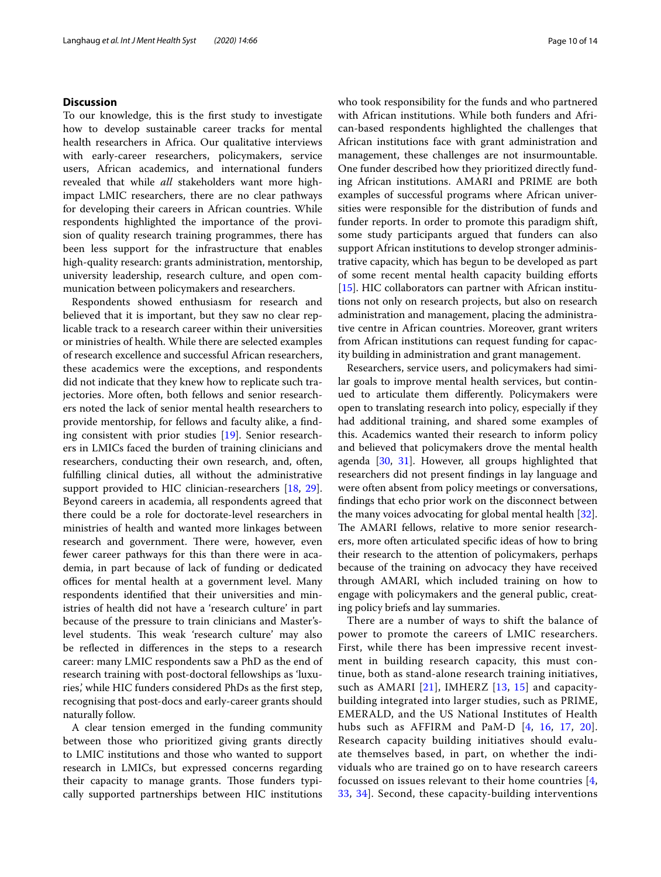## **Discussion**

To our knowledge, this is the frst study to investigate how to develop sustainable career tracks for mental health researchers in Africa. Our qualitative interviews with early-career researchers, policymakers, service users, African academics, and international funders revealed that while *all* stakeholders want more highimpact LMIC researchers, there are no clear pathways for developing their careers in African countries. While respondents highlighted the importance of the provision of quality research training programmes, there has been less support for the infrastructure that enables high-quality research: grants administration, mentorship, university leadership, research culture, and open communication between policymakers and researchers.

Respondents showed enthusiasm for research and believed that it is important, but they saw no clear replicable track to a research career within their universities or ministries of health. While there are selected examples of research excellence and successful African researchers, these academics were the exceptions, and respondents did not indicate that they knew how to replicate such trajectories. More often, both fellows and senior researchers noted the lack of senior mental health researchers to provide mentorship, for fellows and faculty alike, a fnding consistent with prior studies [\[19](#page-12-16)]. Senior researchers in LMICs faced the burden of training clinicians and researchers, conducting their own research, and, often, fulflling clinical duties, all without the administrative support provided to HIC clinician-researchers [\[18](#page-12-15), [29](#page-12-27)]. Beyond careers in academia, all respondents agreed that there could be a role for doctorate-level researchers in ministries of health and wanted more linkages between research and government. There were, however, even fewer career pathways for this than there were in academia, in part because of lack of funding or dedicated offices for mental health at a government level. Many respondents identifed that their universities and ministries of health did not have a 'research culture' in part because of the pressure to train clinicians and Master'slevel students. This weak 'research culture' may also be refected in diferences in the steps to a research career: many LMIC respondents saw a PhD as the end of research training with post-doctoral fellowships as 'luxuries,' while HIC funders considered PhDs as the frst step, recognising that post-docs and early-career grants should naturally follow.

A clear tension emerged in the funding community between those who prioritized giving grants directly to LMIC institutions and those who wanted to support research in LMICs, but expressed concerns regarding their capacity to manage grants. Those funders typically supported partnerships between HIC institutions who took responsibility for the funds and who partnered with African institutions. While both funders and African-based respondents highlighted the challenges that African institutions face with grant administration and management, these challenges are not insurmountable. One funder described how they prioritized directly funding African institutions. AMARI and PRIME are both examples of successful programs where African universities were responsible for the distribution of funds and funder reports. In order to promote this paradigm shift, some study participants argued that funders can also support African institutions to develop stronger administrative capacity, which has begun to be developed as part of some recent mental health capacity building eforts [[15\]](#page-12-12). HIC collaborators can partner with African institutions not only on research projects, but also on research administration and management, placing the administrative centre in African countries. Moreover, grant writers from African institutions can request funding for capacity building in administration and grant management.

Researchers, service users, and policymakers had similar goals to improve mental health services, but continued to articulate them diferently. Policymakers were open to translating research into policy, especially if they had additional training, and shared some examples of this. Academics wanted their research to inform policy and believed that policymakers drove the mental health agenda [[30,](#page-12-28) [31\]](#page-12-29). However, all groups highlighted that researchers did not present fndings in lay language and were often absent from policy meetings or conversations, fndings that echo prior work on the disconnect between the many voices advocating for global mental health [\[32](#page-12-30)]. The AMARI fellows, relative to more senior researchers, more often articulated specifc ideas of how to bring their research to the attention of policymakers, perhaps because of the training on advocacy they have received through AMARI, which included training on how to engage with policymakers and the general public, creating policy briefs and lay summaries.

There are a number of ways to shift the balance of power to promote the careers of LMIC researchers. First, while there has been impressive recent investment in building research capacity, this must continue, both as stand-alone research training initiatives, such as AMARI  $[21]$ , IMHERZ  $[13, 15]$  $[13, 15]$  $[13, 15]$  $[13, 15]$  and capacitybuilding integrated into larger studies, such as PRIME, EMERALD, and the US National Institutes of Health hubs such as AFFIRM and PaM-D [[4,](#page-12-3) [16,](#page-12-13) [17,](#page-12-14) [20\]](#page-12-17). Research capacity building initiatives should evaluate themselves based, in part, on whether the individuals who are trained go on to have research careers focussed on issues relevant to their home countries [\[4](#page-12-3), [33,](#page-12-31) [34](#page-13-0)]. Second, these capacity-building interventions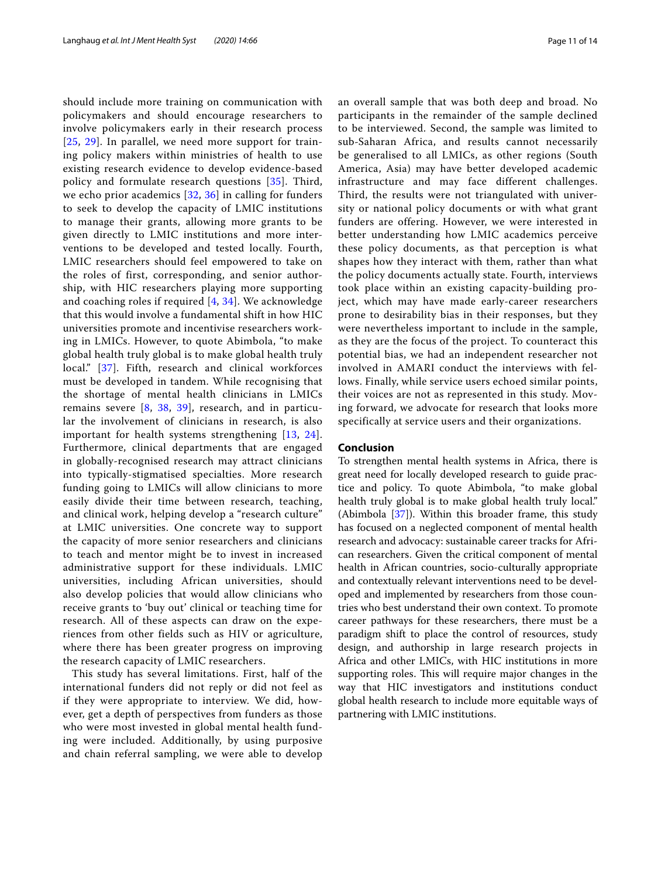should include more training on communication with policymakers and should encourage researchers to involve policymakers early in their research process [[25](#page-12-22), [29\]](#page-12-27). In parallel, we need more support for training policy makers within ministries of health to use existing research evidence to develop evidence-based policy and formulate research questions [\[35\]](#page-13-1). Third, we echo prior academics [[32](#page-12-30), [36\]](#page-13-2) in calling for funders to seek to develop the capacity of LMIC institutions to manage their grants, allowing more grants to be given directly to LMIC institutions and more interventions to be developed and tested locally. Fourth, LMIC researchers should feel empowered to take on the roles of first, corresponding, and senior authorship, with HIC researchers playing more supporting and coaching roles if required [\[4](#page-12-3), [34\]](#page-13-0). We acknowledge that this would involve a fundamental shift in how HIC universities promote and incentivise researchers working in LMICs. However, to quote Abimbola, "to make global health truly global is to make global health truly local." [\[37\]](#page-13-3). Fifth, research and clinical workforces must be developed in tandem. While recognising that the shortage of mental health clinicians in LMICs remains severe  $[8, 38, 39]$  $[8, 38, 39]$  $[8, 38, 39]$  $[8, 38, 39]$  $[8, 38, 39]$  $[8, 38, 39]$ , research, and in particular the involvement of clinicians in research, is also important for health systems strengthening [[13,](#page-12-11) [24\]](#page-12-21). Furthermore, clinical departments that are engaged in globally-recognised research may attract clinicians into typically-stigmatised specialties. More research funding going to LMICs will allow clinicians to more easily divide their time between research, teaching, and clinical work, helping develop a "research culture" at LMIC universities. One concrete way to support the capacity of more senior researchers and clinicians to teach and mentor might be to invest in increased administrative support for these individuals. LMIC universities, including African universities, should also develop policies that would allow clinicians who receive grants to 'buy out' clinical or teaching time for research. All of these aspects can draw on the experiences from other fields such as HIV or agriculture, where there has been greater progress on improving the research capacity of LMIC researchers.

This study has several limitations. First, half of the international funders did not reply or did not feel as if they were appropriate to interview. We did, however, get a depth of perspectives from funders as those who were most invested in global mental health funding were included. Additionally, by using purposive and chain referral sampling, we were able to develop an overall sample that was both deep and broad. No participants in the remainder of the sample declined to be interviewed. Second, the sample was limited to sub-Saharan Africa, and results cannot necessarily be generalised to all LMICs, as other regions (South America, Asia) may have better developed academic infrastructure and may face different challenges. Third, the results were not triangulated with university or national policy documents or with what grant funders are offering. However, we were interested in better understanding how LMIC academics perceive these policy documents, as that perception is what shapes how they interact with them, rather than what the policy documents actually state. Fourth, interviews took place within an existing capacity-building project, which may have made early-career researchers prone to desirability bias in their responses, but they were nevertheless important to include in the sample, as they are the focus of the project. To counteract this potential bias, we had an independent researcher not involved in AMARI conduct the interviews with fellows. Finally, while service users echoed similar points, their voices are not as represented in this study. Moving forward, we advocate for research that looks more specifically at service users and their organizations.

#### **Conclusion**

To strengthen mental health systems in Africa, there is great need for locally developed research to guide practice and policy. To quote Abimbola, "to make global health truly global is to make global health truly local." (Abimbola [[37\]](#page-13-3)). Within this broader frame, this study has focused on a neglected component of mental health research and advocacy: sustainable career tracks for African researchers. Given the critical component of mental health in African countries, socio-culturally appropriate and contextually relevant interventions need to be developed and implemented by researchers from those countries who best understand their own context. To promote career pathways for these researchers, there must be a paradigm shift to place the control of resources, study design, and authorship in large research projects in Africa and other LMICs, with HIC institutions in more supporting roles. This will require major changes in the way that HIC investigators and institutions conduct global health research to include more equitable ways of partnering with LMIC institutions.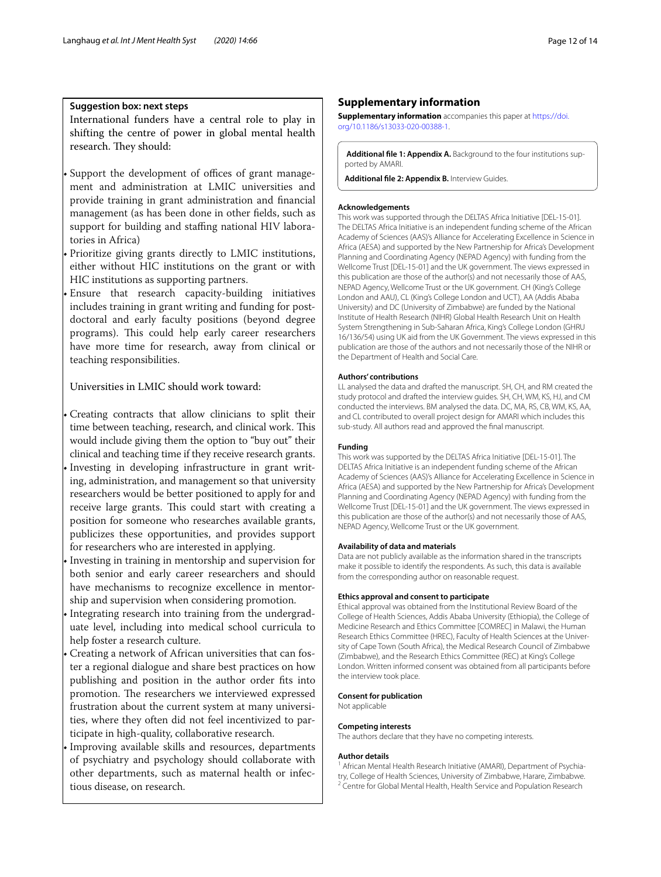## **Suggestion box: next steps**

International funders have a central role to play in shifting the centre of power in global mental health research. They should:

Support the development of offices of grant management and administration at LMIC universities and provide training in grant administration and fnancial management (as has been done in other felds, such as support for building and staffing national HIV laboratories in Africa)

• Prioritize giving grants directly to LMIC institutions, either without HIC institutions on the grant or with HIC institutions as supporting partners.

• Ensure that research capacity-building initiatives includes training in grant writing and funding for postdoctoral and early faculty positions (beyond degree programs). This could help early career researchers have more time for research, away from clinical or teaching responsibilities.

## Universities in LMIC should work toward:

• Creating contracts that allow clinicians to split their time between teaching, research, and clinical work. This would include giving them the option to "buy out" their clinical and teaching time if they receive research grants. Investing in developing infrastructure in grant writing, administration, and management so that university researchers would be better positioned to apply for and receive large grants. This could start with creating a

- position for someone who researches available grants, publicizes these opportunities, and provides support for researchers who are interested in applying.
- Investing in training in mentorship and supervision for both senior and early career researchers and should have mechanisms to recognize excellence in mentorship and supervision when considering promotion.
- Integrating research into training from the undergraduate level, including into medical school curricula to help foster a research culture.
- Creating a network of African universities that can foster a regional dialogue and share best practices on how publishing and position in the author order fts into promotion. The researchers we interviewed expressed frustration about the current system at many universities, where they often did not feel incentivized to participate in high-quality, collaborative research.
- Improving available skills and resources, departments of psychiatry and psychology should collaborate with other departments, such as maternal health or infectious disease, on research.

#### **Supplementary information**

**Supplementary information** accompanies this paper at [https://doi.](https://doi.org/10.1186/s13033-020-00388-1) [org/10.1186/s13033-020-00388-1](https://doi.org/10.1186/s13033-020-00388-1).

<span id="page-11-1"></span><span id="page-11-0"></span>**Additional fle 1: Appendix A.** Background to the four institutions supported by AMARI.

**Additional fle 2: Appendix B.** Interview Guides.

#### **Acknowledgements**

This work was supported through the DELTAS Africa Initiative [DEL-15-01]. The DELTAS Africa Initiative is an independent funding scheme of the African Academy of Sciences (AAS)'s Alliance for Accelerating Excellence in Science in Africa (AESA) and supported by the New Partnership for Africa's Development Planning and Coordinating Agency (NEPAD Agency) with funding from the Wellcome Trust [DEL-15-01] and the UK government. The views expressed in this publication are those of the author(s) and not necessarily those of AAS, NEPAD Agency, Wellcome Trust or the UK government. CH (King's College London and AAU), CL (King's College London and UCT), AA (Addis Ababa University) and DC (University of Zimbabwe) are funded by the National Institute of Health Research (NIHR) Global Health Research Unit on Health System Strengthening in Sub-Saharan Africa, King's College London (GHRU 16/136/54) using UK aid from the UK Government. The views expressed in this publication are those of the authors and not necessarily those of the NIHR or the Department of Health and Social Care.

#### **Authors' contributions**

LL analysed the data and drafted the manuscript. SH, CH, and RM created the study protocol and drafted the interview guides. SH, CH, WM, KS, HJ, and CM conducted the interviews. BM analysed the data. DC, MA, RS, CB, WM, KS, AA, and CL contributed to overall project design for AMARI which includes this sub-study. All authors read and approved the fnal manuscript.

#### **Funding**

This work was supported by the DELTAS Africa Initiative [DEL-15-01]. The DELTAS Africa Initiative is an independent funding scheme of the African Academy of Sciences (AAS)'s Alliance for Accelerating Excellence in Science in Africa (AESA) and supported by the New Partnership for Africa's Development Planning and Coordinating Agency (NEPAD Agency) with funding from the Wellcome Trust [DEL-15-01] and the UK government. The views expressed in this publication are those of the author(s) and not necessarily those of AAS, NEPAD Agency, Wellcome Trust or the UK government.

#### **Availability of data and materials**

Data are not publicly available as the information shared in the transcripts make it possible to identify the respondents. As such, this data is available from the corresponding author on reasonable request.

#### **Ethics approval and consent to participate**

Ethical approval was obtained from the Institutional Review Board of the College of Health Sciences, Addis Ababa University (Ethiopia), the College of Medicine Research and Ethics Committee [COMREC] in Malawi, the Human Research Ethics Committee (HREC), Faculty of Health Sciences at the University of Cape Town (South Africa), the Medical Research Council of Zimbabwe (Zimbabwe), and the Research Ethics Committee (REC) at King's College London. Written informed consent was obtained from all participants before the interview took place.

## **Consent for publication**

Not applicable

#### **Competing interests**

The authors declare that they have no competing interests.

#### **Author details**

<sup>1</sup> African Mental Health Research Initiative (AMARI), Department of Psychiatry, College of Health Sciences, University of Zimbabwe, Harare, Zimbabwe.<br><sup>2</sup> Centre for Global Mental Health, Health Service and Population Research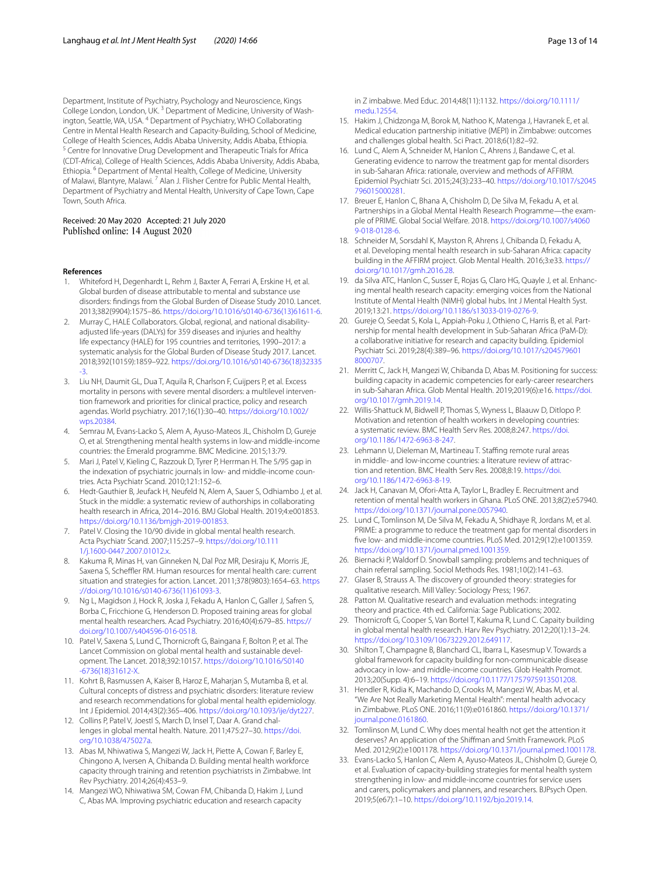Department, Institute of Psychiatry, Psychology and Neuroscience, Kings College London, London, UK. 3 Department of Medicine, University of Washington, Seattle, WA, USA. 4 Department of Psychiatry, WHO Collaborating Centre in Mental Health Research and Capacity-Building, School of Medicine, College of Health Sciences, Addis Ababa University, Addis Ababa, Ethiopia.<br><sup>5</sup> Centre for Innovative Drug Development and Therapeutic Trials for Africa (CDT-Africa), College of Health Sciences, Addis Ababa University, Addis Ababa, Ethiopia. 6 Department of Mental Health, College of Medicine, University of Malawi, Blantyre, Malawi. <sup>7</sup> Alan J. Flisher Centre for Public Mental Health, Department of Psychiatry and Mental Health, University of Cape Town, Cape Town, South Africa.

Received: 20 May 2020 Accepted: 21 July 2020<br>Published online: 14 August 2020

#### **References**

- <span id="page-12-0"></span>1. Whiteford H, Degenhardt L, Rehm J, Baxter A, Ferrari A, Erskine H, et al. Global burden of disease attributable to mental and substance use disorders: fndings from the Global Burden of Disease Study 2010. Lancet. 2013;382(9904):1575–86. [https://doi.org/10.1016/s0140-6736\(13\)61611-6.](https://doi.org/10.1016/s0140-6736(13)61611-6)
- <span id="page-12-1"></span>2. Murray C, HALE Collaborators. Global, regional, and national disabilityadjusted life-years (DALYs) for 359 diseases and injuries and healthy life expectancy (HALE) for 195 countries and territories, 1990–2017: a systematic analysis for the Global Burden of Disease Study 2017. Lancet. 2018;392(10159):1859–922. [https://doi.org/10.1016/s0140-6736\(18\)32335](https://doi.org/10.1016/s0140-6736(18)32335-3) [-3.](https://doi.org/10.1016/s0140-6736(18)32335-3)
- <span id="page-12-2"></span>3. Liu NH, Daumit GL, Dua T, Aquila R, Charlson F, Cuijpers P, et al. Excess mortality in persons with severe mental disorders: a multilevel intervention framework and priorities for clinical practice, policy and research agendas. World psychiatry. 2017;16(1):30–40. [https://doi.org/10.1002/](https://doi.org/10.1002/wps.20384) [wps.20384.](https://doi.org/10.1002/wps.20384)
- <span id="page-12-3"></span>4. Semrau M, Evans-Lacko S, Alem A, Ayuso-Mateos JL, Chisholm D, Gureje O, et al. Strengthening mental health systems in low-and middle-income countries: the Emerald programme. BMC Medicine. 2015;13:79.
- <span id="page-12-4"></span>5. Mari J, Patel V, Kieling C, Razzouk D, Tyrer P, Herrman H. The 5/95 gap in the indexation of psychiatric journals in low- and middle-income countries. Acta Psychiatr Scand. 2010;121:152–6.
- <span id="page-12-5"></span>6. Hedt-Gauthier B, Jeufack H, Neufeld N, Alem A, Sauer S, Odhiambo J, et al. Stuck in the middle: a systematic review of authorships in collaborating health research in Africa, 2014–2016. BMJ Global Health. 2019;4:e001853. [https://doi.org/10.1136/bmjgh-2019-001853.](https://doi.org/10.1136/bmjgh-2019-001853)
- <span id="page-12-6"></span>7. Patel V. Closing the 10/90 divide in global mental health research. Acta Psychiatr Scand. 2007;115:257–9. [https://doi.org/10.111](https://doi.org/10.1111/j.1600-0447.2007.01012.x) [1/j.1600-0447.2007.01012.x](https://doi.org/10.1111/j.1600-0447.2007.01012.x).
- <span id="page-12-32"></span>8. Kakuma R, Minas H, van Ginneken N, Dal Poz MR, Desiraju K, Morris JE, Saxena S, Scheffler RM. Human resources for mental health care: current situation and strategies for action. Lancet. 2011;378(9803):1654–63. [https](https://doi.org/10.1016/s0140-6736(11)61093-3) [://doi.org/10.1016/s0140-6736\(11\)61093-3.](https://doi.org/10.1016/s0140-6736(11)61093-3)
- <span id="page-12-7"></span>9. Ng L, Magidson J, Hock R, Joska J, Fekadu A, Hanlon C, Galler J, Safren S, Borba C, Fricchione G, Henderson D. Proposed training areas for global mental health researchers. Acad Psychiatry. 2016;40(4):679–85. [https://](https://doi.org/10.1007/s404596-016-0518) [doi.org/10.1007/s404596-016-0518](https://doi.org/10.1007/s404596-016-0518).
- <span id="page-12-8"></span>10. Patel V, Saxena S, Lund C, Thornicroft G, Baingana F, Bolton P, et al. The Lancet Commission on global mental health and sustainable development. The Lancet. 2018;392:10157. [https://doi.org/10.1016/S0140](https://doi.org/10.1016/S0140-6736(18)31612-X) [-6736\(18\)31612-X](https://doi.org/10.1016/S0140-6736(18)31612-X).
- <span id="page-12-9"></span>11. Kohrt B, Rasmussen A, Kaiser B, Haroz E, Maharjan S, Mutamba B, et al. Cultural concepts of distress and psychiatric disorders: literature review and research recommendations for global mental health epidemiology. Int J Epidemiol. 2014;43(2):365–406. [https://doi.org/10.1093/ije/dyt227.](https://doi.org/10.1093/ije/dyt227)
- <span id="page-12-10"></span>12. Collins P, Patel V, Joestl S, March D, Insel T, Daar A. Grand challenges in global mental health. Nature. 2011;475:27–30. [https://doi.](https://doi.org/10.1038/475027a) [org/10.1038/475027a.](https://doi.org/10.1038/475027a)
- <span id="page-12-11"></span>13. Abas M, Nhiwatiwa S, Mangezi W, Jack H, Piette A, Cowan F, Barley E, Chingono A, Iversen A, Chibanda D. Building mental health workforce capacity through training and retention psychiatrists in Zimbabwe. Int Rev Psychiatry. 2014;26(4):453–9.
- <span id="page-12-23"></span>14. Mangezi WO, Nhiwatiwa SM, Cowan FM, Chibanda D, Hakim J, Lund C, Abas MA. Improving psychiatric education and research capacity

in Z imbabwe. Med Educ. 2014;48(11):1132. [https://doi.org/10.1111/](https://doi.org/10.1111/medu.12554) [medu.12554](https://doi.org/10.1111/medu.12554).

- <span id="page-12-12"></span>15. Hakim J, Chidzonga M, Borok M, Nathoo K, Matenga J, Havranek E, et al. Medical education partnership initiative (MEPI) in Zimbabwe: outcomes and challenges global health. Sci Pract. 2018;6(1):82–92.
- <span id="page-12-13"></span>16. Lund C, Alem A, Schneider M, Hanlon C, Ahrens J, Bandawe C, et al. Generating evidence to narrow the treatment gap for mental disorders in sub-Saharan Africa: rationale, overview and methods of AFFIRM. Epidemiol Psychiatr Sci. 2015;24(3):233–40. [https://doi.org/10.1017/s2045](https://doi.org/10.1017/s2045796015000281) [796015000281.](https://doi.org/10.1017/s2045796015000281)
- <span id="page-12-14"></span>17. Breuer E, Hanlon C, Bhana A, Chisholm D, De Silva M, Fekadu A, et al. Partnerships in a Global Mental Health Research Programme—the example of PRIME. Global Social Welfare. 2018. [https://doi.org/10.1007/s4060](https://doi.org/10.1007/s40609-018-0128-6) [9-018-0128-6](https://doi.org/10.1007/s40609-018-0128-6).
- <span id="page-12-15"></span>18. Schneider M, Sorsdahl K, Mayston R, Ahrens J, Chibanda D, Fekadu A, et al. Developing mental health research in sub-Saharan Africa: capacity building in the AFFIRM project. Glob Mental Health. 2016;3:e33. [https://](https://doi.org/10.1017/gmh.2016.28) [doi.org/10.1017/gmh.2016.28](https://doi.org/10.1017/gmh.2016.28).
- <span id="page-12-16"></span>19. da Silva ATC, Hanlon C, Susser E, Rojas G, Claro HG, Quayle J, et al. Enhancing mental health research capacity: emerging voices from the National Institute of Mental Health (NIMH) global hubs. Int J Mental Health Syst. 2019;13:21. <https://doi.org/10.1186/s13033-019-0276-9>.
- <span id="page-12-17"></span>20. Gureje O, Seedat S, Kola L, Appiah-Poku J, Othieno C, Harris B, et al. Partnership for mental health development in Sub-Saharan Africa (PaM-D): a collaborative initiative for research and capacity building. Epidemiol Psychiatr Sci. 2019;28(4):389–96. [https://doi.org/10.1017/s204579601](https://doi.org/10.1017/s2045796018000707) [8000707](https://doi.org/10.1017/s2045796018000707).
- <span id="page-12-18"></span>21. Merritt C, Jack H, Mangezi W, Chibanda D, Abas M. Positioning for success: building capacity in academic competencies for early-career researchers in sub-Saharan Africa. Glob Mental Health. 2019;2019(6):e16. [https://doi.](https://doi.org/10.1017/gmh.2019.14) [org/10.1017/gmh.2019.14](https://doi.org/10.1017/gmh.2019.14).
- <span id="page-12-19"></span>22. Willis-Shattuck M, Bidwell P, Thomas S, Wyness L, Blaauw D, Ditlopo P. Motivation and retention of health workers in developing countries: a systematic review. BMC Health Serv Res. 2008;8:247. [https://doi.](https://doi.org/10.1186/1472-6963-8-247) [org/10.1186/1472-6963-8-247](https://doi.org/10.1186/1472-6963-8-247).
- <span id="page-12-20"></span>23. Lehmann U, Dieleman M, Martineau T. Staffing remote rural areas in middle- and low-income countries: a literature review of attraction and retention. BMC Health Serv Res. 2008;8:19. [https://doi.](https://doi.org/10.1186/1472-6963-8-19) [org/10.1186/1472-6963-8-19](https://doi.org/10.1186/1472-6963-8-19).
- <span id="page-12-21"></span>24. Jack H, Canavan M, Ofori-Atta A, Taylor L, Bradley E. Recruitment and retention of mental health workers in Ghana. PLoS ONE. 2013;8(2):e57940. <https://doi.org/10.1371/journal.pone.0057940>.
- <span id="page-12-22"></span>25. Lund C, Tomlinson M, De Silva M, Fekadu A, Shidhaye R, Jordans M, et al. PRIME: a programme to reduce the treatment gap for mental disorders in fve low- and middle-income countries. PLoS Med. 2012;9(12):e1001359. <https://doi.org/10.1371/journal.pmed.1001359>.
- <span id="page-12-24"></span>26. Biernacki P, Waldorf D. Snowball sampling: problems and techniques of chain referral sampling. Sociol Methods Res. 1981;10(2):141–63.
- <span id="page-12-25"></span>27. Glaser B, Strauss A. The discovery of grounded theory: strategies for qualitative research. Mill Valley: Sociology Press; 1967.
- <span id="page-12-26"></span>28. Patton M. Qualitative research and evaluation methods: integrating theory and practice. 4th ed. California: Sage Publications; 2002.
- <span id="page-12-27"></span>29. Thornicroft G, Cooper S, Van Bortel T, Kakuma R, Lund C. Capaity building in global mental health research. Harv Rev Psychiatry. 2012;20(1):13–24. <https://doi.org/10.3109/10673229.2012.649117>.
- <span id="page-12-28"></span>30. Shilton T, Champagne B, Blanchard CL, Ibarra L, Kasesmup V. Towards a global framework for capacity building for non-communicable disease advocacy in low- and middle-income countries. Glob Health Promot. 2013;20(Supp. 4):6–19. [https://doi.org/10.1177/1757975913501208.](https://doi.org/10.1177/1757975913501208)
- <span id="page-12-29"></span>31. Hendler R, Kidia K, Machando D, Crooks M, Mangezi W, Abas M, et al. "We Are Not Really Marketing Mental Health": mental health advocacy in Zimbabwe. PLoS ONE. 2016;11(9):e0161860. [https://doi.org/10.1371/](https://doi.org/10.1371/journal.pone.0161860) [journal.pone.0161860](https://doi.org/10.1371/journal.pone.0161860).
- <span id="page-12-30"></span>32. Tomlinson M, Lund C. Why does mental health not get the attention it deserves? An application of the Shifman and Smith Framework. PLoS Med. 2012;9(2):e1001178. [https://doi.org/10.1371/journal.pmed.1001178.](https://doi.org/10.1371/journal.pmed.1001178)
- <span id="page-12-31"></span>33. Evans-Lacko S, Hanlon C, Alem A, Ayuso-Mateos JL, Chisholm D, Gureje O, et al. Evaluation of capacity-building strategies for mental health system strengthening in low- and middle-income countries for service users and carers, policymakers and planners, and researchers. BJPsych Open. 2019;5(e67):1–10.<https://doi.org/10.1192/bjo.2019.14>.